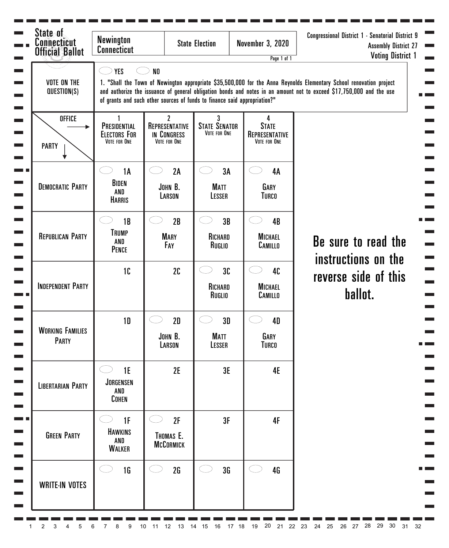| State of<br><b>Connecticut</b><br><b>Official Ballot</b> | <b>Newington</b><br><b>Connecticut</b>              |                                                                                             | <b>State Election</b>                                  | <b>November 3, 2020</b><br>Page 1 of 1              | <b>Congressional District 1 - Senatorial District 9</b><br><b>Assembly District 27</b><br><b>Voting District 1</b>                                                                                                                          |
|----------------------------------------------------------|-----------------------------------------------------|---------------------------------------------------------------------------------------------|--------------------------------------------------------|-----------------------------------------------------|---------------------------------------------------------------------------------------------------------------------------------------------------------------------------------------------------------------------------------------------|
| <b>VOTE ON THE</b><br>QUESTION(S)                        | <b>YES</b>                                          | N <sub>0</sub><br>of grants and such other sources of funds to finance said appropriation?" |                                                        |                                                     | 1. "Shall the Town of Newington appropriate \$35,500,000 for the Anna Reynolds Elementary School renovation project<br>and authorize the issuance of general obligation bonds and notes in an amount not to exceed \$17,750,000 and the use |
| <b>OFFICE</b><br><b>PARTY</b>                            | PRESIDENTIAL<br><b>ELECTORS FOR</b><br>VOTE FOR ONE | $\mathbf{2}$<br>REPRESENTATIVE<br>IN CONGRESS<br>VOTE FOR ONE                               | 3 <sup>1</sup><br><b>STATE SENATOR</b><br>VOTE FOR ONE | 4<br><b>STATE</b><br>REPRESENTATIVE<br>VOTE FOR ONE |                                                                                                                                                                                                                                             |
| <b>DEMOCRATIC PARTY</b>                                  | <b>1A</b><br><b>BIDEN</b><br>AND<br><b>HARRIS</b>   | 2A<br>JOHN B.<br>LARSON                                                                     | 3A<br>i<br>Listo<br><b>MATT</b><br>LESSER              | 4A<br><b>GARY</b><br><b>TURCO</b>                   |                                                                                                                                                                                                                                             |
| <b>REPUBLICAN PARTY</b>                                  | 1B<br><b>TRUMP</b><br>AND<br><b>PENCE</b>           | 2B<br><b>MARY</b><br>FAY                                                                    | 3B<br>RICHARD<br>RUGLIO                                | 4B<br><b>MICHAEL</b><br>CAMILLO                     | Be sure to read the                                                                                                                                                                                                                         |
| <b>INDEPENDENT PARTY</b>                                 | 10                                                  | 2C                                                                                          | 3C<br>RICHARD<br>RUGLIO                                | 40<br><b>MICHAEL</b><br>CAMILLO                     | instructions on the<br>reverse side of this<br>ballot.                                                                                                                                                                                      |
| <b>WORKING FAMILIES</b><br>PARTY                         | 1 <sub>D</sub>                                      | 2D<br>JOHN B.<br>LARSON                                                                     | 3D<br><b>MATT</b><br>LESSER                            | 4D<br>GARY<br><b>TURCO</b>                          |                                                                                                                                                                                                                                             |
| <b>LIBERTARIAN PARTY</b>                                 | 1E<br><b>JORGENSEN</b><br>AND<br><b>COHEN</b>       | 2E                                                                                          | 3E                                                     | <b>4E</b>                                           |                                                                                                                                                                                                                                             |
| <b>GREEN PARTY</b>                                       | 1F<br><b>HAWKINS</b><br>AND<br><b>WALKER</b>        | 2F<br>THOMAS E.<br><b>MCCORMICK</b>                                                         | 3F                                                     | 4F                                                  |                                                                                                                                                                                                                                             |
| <b>WRITE-IN VOTES</b>                                    | 1 <sub>G</sub>                                      | 2G                                                                                          | 3 <sub>G</sub>                                         | 4 <sub>G</sub>                                      |                                                                                                                                                                                                                                             |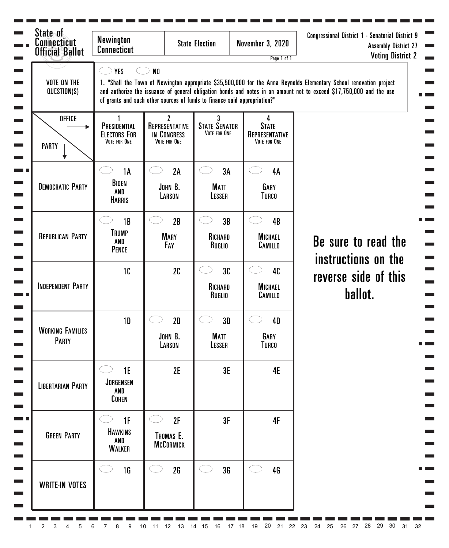| State of<br><b>Connecticut</b><br><b>Official Ballot</b> | <b>Newington</b><br><b>Connecticut</b>              |                                                                                             | <b>State Election</b>                                  | <b>November 3, 2020</b><br>Page 1 of 1              | <b>Congressional District 1 - Senatorial District 9</b><br><b>Assembly District 27</b><br><b>Voting District 2</b>                                                                                                                          |
|----------------------------------------------------------|-----------------------------------------------------|---------------------------------------------------------------------------------------------|--------------------------------------------------------|-----------------------------------------------------|---------------------------------------------------------------------------------------------------------------------------------------------------------------------------------------------------------------------------------------------|
| <b>VOTE ON THE</b><br>QUESTION(S)                        | <b>YES</b>                                          | N <sub>0</sub><br>of grants and such other sources of funds to finance said appropriation?" |                                                        |                                                     | 1. "Shall the Town of Newington appropriate \$35,500,000 for the Anna Reynolds Elementary School renovation project<br>and authorize the issuance of general obligation bonds and notes in an amount not to exceed \$17,750,000 and the use |
| <b>OFFICE</b><br><b>PARTY</b>                            | PRESIDENTIAL<br><b>ELECTORS FOR</b><br>VOTE FOR ONE | $\mathbf{2}$<br>REPRESENTATIVE<br>IN CONGRESS<br>VOTE FOR ONE                               | 3 <sup>1</sup><br><b>STATE SENATOR</b><br>VOTE FOR ONE | 4<br><b>STATE</b><br>REPRESENTATIVE<br>VOTE FOR ONE |                                                                                                                                                                                                                                             |
| <b>DEMOCRATIC PARTY</b>                                  | <b>1A</b><br><b>BIDEN</b><br>AND<br><b>HARRIS</b>   | 2A<br>JOHN B.<br>LARSON                                                                     | 3A<br>i<br>Listo<br><b>MATT</b><br>LESSER              | 4A<br><b>GARY</b><br><b>TURCO</b>                   |                                                                                                                                                                                                                                             |
| <b>REPUBLICAN PARTY</b>                                  | 1B<br><b>TRUMP</b><br>AND<br><b>PENCE</b>           | 2B<br><b>MARY</b><br>FAY                                                                    | 3B<br>RICHARD<br>RUGLIO                                | 4B<br><b>MICHAEL</b><br>CAMILLO                     | Be sure to read the<br>instructions on the                                                                                                                                                                                                  |
| <b>INDEPENDENT PARTY</b>                                 | 10                                                  | 2C                                                                                          | 3C<br>RICHARD<br>RUGLIO                                | 40<br><b>MICHAEL</b><br>CAMILLO                     | reverse side of this<br>ballot.                                                                                                                                                                                                             |
| <b>WORKING FAMILIES</b><br>PARTY                         | 1 <sub>D</sub>                                      | 2D<br>JOHN B.<br>LARSON                                                                     | 3D<br><b>Matt</b><br>LESSER                            | 4D<br>GARY<br><b>TURCO</b>                          |                                                                                                                                                                                                                                             |
| <b>LIBERTARIAN PARTY</b>                                 | 1E<br><b>JORGENSEN</b><br>AND<br><b>COHEN</b>       | 2E                                                                                          | 3E                                                     | <b>4E</b>                                           |                                                                                                                                                                                                                                             |
| <b>GREEN PARTY</b>                                       | 1F<br><b>HAWKINS</b><br>AND<br><b>WALKER</b>        | 2F<br>THOMAS E.<br><b>MCCORMICK</b>                                                         | 3F                                                     | 4F                                                  |                                                                                                                                                                                                                                             |
| <b>WRITE-IN VOTES</b>                                    | 1 <sub>G</sub>                                      | 2G                                                                                          | 3 <sub>G</sub>                                         | 4 <sub>G</sub>                                      |                                                                                                                                                                                                                                             |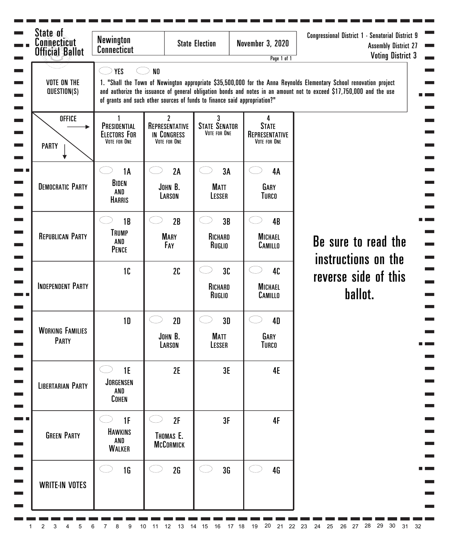| State of<br><b>Connecticut</b><br><b>Official Ballot</b> | <b>Newington</b><br><b>Connecticut</b>              |                                                                                             | <b>State Election</b>                                | <b>November 3, 2020</b><br>Page 1 of 1              | Congressional District 1 - Senatorial District 9<br><b>Assembly District 27</b><br><b>Voting District 3</b>                                                                                                                                 |
|----------------------------------------------------------|-----------------------------------------------------|---------------------------------------------------------------------------------------------|------------------------------------------------------|-----------------------------------------------------|---------------------------------------------------------------------------------------------------------------------------------------------------------------------------------------------------------------------------------------------|
| <b>VOTE ON THE</b><br>QUESTION(S)                        | <b>YES</b>                                          | N <sub>0</sub><br>of grants and such other sources of funds to finance said appropriation?" |                                                      |                                                     | 1. "Shall the Town of Newington appropriate \$35,500,000 for the Anna Reynolds Elementary School renovation project<br>and authorize the issuance of general obligation bonds and notes in an amount not to exceed \$17,750,000 and the use |
| <b>OFFICE</b><br><b>PARTY</b>                            | PRESIDENTIAL<br><b>ELECTORS FOR</b><br>VOTE FOR ONE | $\overline{2}$<br>REPRESENTATIVE<br>IN CONGRESS<br>VOTE FOR ONE                             | $\mathbf{3}$<br><b>STATE SENATOR</b><br>VOTE FOR ONE | 4<br><b>STATE</b><br>REPRESENTATIVE<br>VOTE FOR ONE |                                                                                                                                                                                                                                             |
|                                                          | <b>1A</b>                                           | 2A                                                                                          | 3A<br>in 19                                          | 4A                                                  |                                                                                                                                                                                                                                             |
| <b>DEMOCRATIC PARTY</b>                                  | BIDEN<br>AND<br><b>HARRIS</b>                       | JOHN B.<br>LARSON                                                                           | <b>MATT</b><br>LESSER                                | GARY<br><b>TURCO</b>                                |                                                                                                                                                                                                                                             |
| <b>REPUBLICAN PARTY</b>                                  | 1B<br><b>TRUMP</b><br>AND<br><b>PENCE</b>           | 2B<br><b>MARY</b><br>FAY                                                                    | 3B<br>J.<br>RICHARD<br>RUGLIO                        | 4B<br><b>MICHAEL</b><br>CAMILLO                     | Be sure to read the<br>instructions on the                                                                                                                                                                                                  |
| <b>INDEPENDENT PARTY</b>                                 | 1C                                                  | 2C                                                                                          | 3C<br>RICHARD<br>RUGLIO                              | 40<br><b>MICHAEL</b><br>CAMILLO                     | reverse side of this<br>ballot.                                                                                                                                                                                                             |
|                                                          | 1 <sub>D</sub>                                      | 2D                                                                                          | 3D                                                   | 4D                                                  |                                                                                                                                                                                                                                             |
| <b>WORKING FAMILIES</b><br>PARTY                         |                                                     | JOHN B.<br>LARSON                                                                           | Matt<br>LESSER                                       | GARY<br><b>TURCO</b>                                |                                                                                                                                                                                                                                             |
| <b>LIBERTARIAN PARTY</b>                                 | 1E<br><b>JORGENSEN</b><br>AND<br><b>COHEN</b>       | 2E                                                                                          | 3E                                                   | <b>4E</b>                                           |                                                                                                                                                                                                                                             |
| <b>GREEN PARTY</b>                                       | 1F<br><b>HAWKINS</b><br>AND<br><b>WALKER</b>        | 2F<br>THOMAS E.<br><b>MCCORMICK</b>                                                         | 3F                                                   | <b>4F</b>                                           |                                                                                                                                                                                                                                             |
| <b>WRITE-IN VOTES</b>                                    | 1 <sub>G</sub>                                      | 2G                                                                                          | 3 <sub>G</sub>                                       | 4G                                                  |                                                                                                                                                                                                                                             |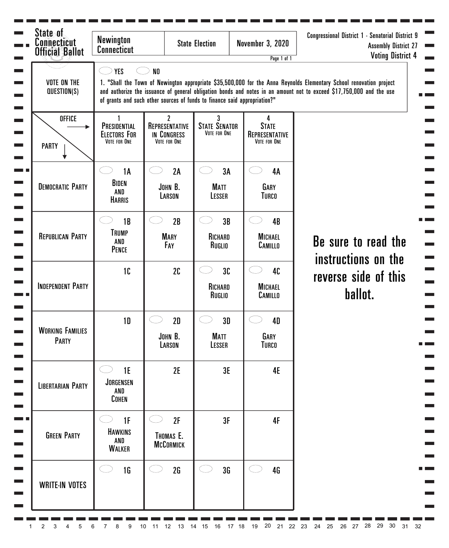| State of<br><b>Connecticut</b><br><b>Official Ballot</b> | <b>Newington</b><br><b>Connecticut</b>              |                                                                                             | <b>State Election</b>                                  | <b>November 3, 2020</b><br>Page 1 of 1              | <b>Congressional District 1 - Senatorial District 9</b><br><b>Assembly District 27</b><br><b>Voting District 4</b>                                                                                                                          |
|----------------------------------------------------------|-----------------------------------------------------|---------------------------------------------------------------------------------------------|--------------------------------------------------------|-----------------------------------------------------|---------------------------------------------------------------------------------------------------------------------------------------------------------------------------------------------------------------------------------------------|
| <b>VOTE ON THE</b><br>QUESTION(S)                        | <b>YES</b>                                          | N <sub>0</sub><br>of grants and such other sources of funds to finance said appropriation?" |                                                        |                                                     | 1. "Shall the Town of Newington appropriate \$35,500,000 for the Anna Reynolds Elementary School renovation project<br>and authorize the issuance of general obligation bonds and notes in an amount not to exceed \$17,750,000 and the use |
| <b>OFFICE</b><br><b>PARTY</b>                            | PRESIDENTIAL<br><b>ELECTORS FOR</b><br>VOTE FOR ONE | $\mathbf{2}$<br>REPRESENTATIVE<br>IN CONGRESS<br>VOTE FOR ONE                               | 3 <sup>1</sup><br><b>STATE SENATOR</b><br>VOTE FOR ONE | 4<br><b>STATE</b><br>REPRESENTATIVE<br>VOTE FOR ONE |                                                                                                                                                                                                                                             |
| <b>DEMOCRATIC PARTY</b>                                  | <b>1A</b><br><b>BIDEN</b><br>AND<br><b>HARRIS</b>   | 2A<br>JOHN B.<br>LARSON                                                                     | 3A<br>i<br>Listo<br><b>MATT</b><br>LESSER              | 4A<br><b>GARY</b><br><b>TURCO</b>                   |                                                                                                                                                                                                                                             |
| <b>REPUBLICAN PARTY</b>                                  | 1B<br><b>TRUMP</b><br>AND<br><b>PENCE</b>           | 2B<br><b>MARY</b><br>FAY                                                                    | 3B<br>RICHARD<br>RUGLIO                                | 4B<br><b>MICHAEL</b><br>CAMILLO                     | Be sure to read the<br>instructions on the                                                                                                                                                                                                  |
| <b>INDEPENDENT PARTY</b>                                 | 10 <sup>°</sup>                                     | 2C                                                                                          | 3C<br>RICHARD<br>RUGLIO                                | 40<br><b>MICHAEL</b><br>CAMILLO                     | reverse side of this<br>ballot.                                                                                                                                                                                                             |
| <b>WORKING FAMILIES</b><br>PARTY                         | 1 <sub>D</sub>                                      | 2D<br>JOHN B.<br>LARSON                                                                     | 3D<br><b>MATT</b><br>LESSER                            | 4D<br>GARY<br><b>TURCO</b>                          |                                                                                                                                                                                                                                             |
| <b>LIBERTARIAN PARTY</b>                                 | 1E<br><b>JORGENSEN</b><br>AND<br><b>COHEN</b>       | 2E                                                                                          | 3E                                                     | <b>4E</b>                                           |                                                                                                                                                                                                                                             |
| <b>GREEN PARTY</b>                                       | 1F<br><b>HAWKINS</b><br>AND<br><b>WALKER</b>        | 2F<br>THOMAS E.<br><b>MCCORMICK</b>                                                         | 3F                                                     | 4F                                                  |                                                                                                                                                                                                                                             |
| <b>WRITE-IN VOTES</b>                                    | 1 <sub>G</sub>                                      | 2G                                                                                          | 3 <sub>G</sub>                                         | 4 <sub>G</sub>                                      |                                                                                                                                                                                                                                             |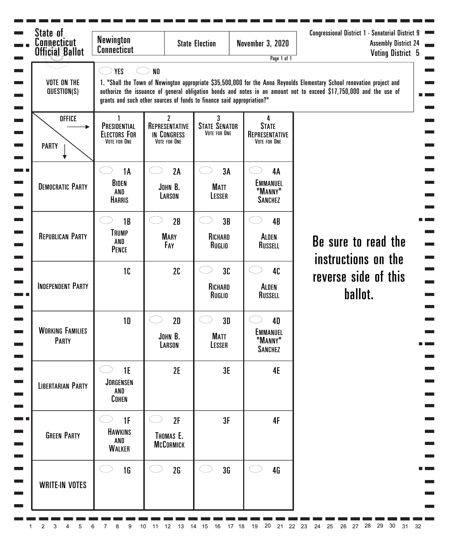| State of<br>Connecticut<br><b>Official Ballot</b> | <b>Newington</b><br><b>Connecticut</b>                   |                                                                                          | <b>State Election</b>                     | <b>November 3, 2020</b>                                   | <b>Congressional District 1 - Senatorial District 9</b><br><b>Assembly District 24</b><br><b>Voting District 5</b>                                                                                                                             |
|---------------------------------------------------|----------------------------------------------------------|------------------------------------------------------------------------------------------|-------------------------------------------|-----------------------------------------------------------|------------------------------------------------------------------------------------------------------------------------------------------------------------------------------------------------------------------------------------------------|
| <b>VOTE ON THE</b><br>QUESTION(S)                 | <b>YES</b>                                               | N <sub>0</sub><br>grants and such other sources of funds to finance said appropriation?" |                                           | Page 1 of 1                                               | 1. "Shall the Town of Newington appropriate \$35,500,000 for the Anna Reynolds Elementary School renovation project and<br>authorize the issuance of general obligation bonds and notes in an amount not to exceed \$17,750,000 and the use of |
| <b>OFFICE</b><br><b>PARTY</b>                     | 1<br>PRESIDENTIAL<br><b>ELECTORS FOR</b><br>VOTE FOR ONE | $\mathbf{2}$<br>REPRESENTATIVE<br>IN CONGRESS<br>VOTE FOR ONE                            | 3<br><b>STATE SENATOR</b><br>VOTE FOR ONE | 4<br><b>STATE</b><br>REPRESENTATIVE<br>VOTE FOR ONE       |                                                                                                                                                                                                                                                |
| <b>DEMOCRATIC PARTY</b>                           | <b>1A</b><br>BIDEN<br>AND<br><b>HARRIS</b>               | 2A<br>JOHN B.<br>LARSON                                                                  | 3A<br>(* 14<br><b>MATT</b><br>LESSER      | 4A<br><b>EMMANUEL</b><br>"MANNY"<br><b>SANCHEZ</b>        |                                                                                                                                                                                                                                                |
| <b>REPUBLICAN PARTY</b>                           | 1B<br><b>TRUMP</b><br>AND<br><b>PENCE</b>                | 2B<br><b>MARY</b><br>FAY                                                                 | 3B<br>RICHARD<br>RUGLIO                   | 4B<br><b>ALDEN</b><br>RUSSELL                             | Be sure to read the<br>instructions on the                                                                                                                                                                                                     |
| <b>INDEPENDENT PARTY</b>                          | 10                                                       | 2C                                                                                       | 3C<br>RICHARD<br>RUGLIO                   | 40<br><b>ALDEN</b><br>RUSSELL                             | reverse side of this<br>ballot.                                                                                                                                                                                                                |
| <b>WORKING FAMILIES</b><br><b>PARTY</b>           | <b>1D</b>                                                | 2D<br>JOHN B.<br>LARSON                                                                  | 3D<br><b>MATT</b><br>LESSER               | <b>4D</b><br><b>EMMANUEL</b><br>"MANNY"<br><b>SANCHEZ</b> |                                                                                                                                                                                                                                                |
| <b>LIBERTARIAN PARTY</b>                          | 1E<br>JORGENSEN<br>AND<br><b>COHEN</b>                   | 2E                                                                                       | 3E                                        | 4E                                                        |                                                                                                                                                                                                                                                |
| <b>GREEN PARTY</b>                                | 1F<br><b>HAWKINS</b><br>AND<br><b>WALKER</b>             | 2F<br>THOMAS E.<br><b>MCCORMICK</b>                                                      | 3F                                        | 4F                                                        |                                                                                                                                                                                                                                                |
| <b>WRITE-IN VOTES</b>                             | 1 <sub>G</sub>                                           | 2G                                                                                       | 3 <sub>G</sub>                            | 4G                                                        |                                                                                                                                                                                                                                                |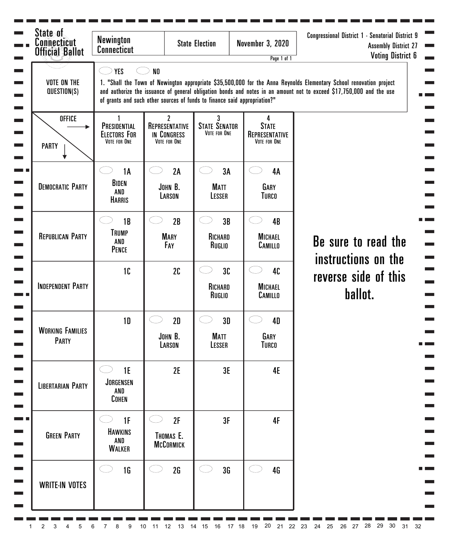| State of<br><b>Connecticut</b><br><b>Official Ballot</b> | <b>Newington</b><br><b>Connecticut</b>              |                                                                                             | <b>State Election</b>                                  | <b>November 3, 2020</b><br>Page 1 of 1              | Congressional District 1 - Senatorial District 9<br><b>Assembly District 27</b><br><b>Voting District 6</b>                                                                                                                                 |
|----------------------------------------------------------|-----------------------------------------------------|---------------------------------------------------------------------------------------------|--------------------------------------------------------|-----------------------------------------------------|---------------------------------------------------------------------------------------------------------------------------------------------------------------------------------------------------------------------------------------------|
| <b>VOTE ON THE</b><br>QUESTION(S)                        | <b>YES</b>                                          | N <sub>0</sub><br>of grants and such other sources of funds to finance said appropriation?" |                                                        |                                                     | 1. "Shall the Town of Newington appropriate \$35,500,000 for the Anna Reynolds Elementary School renovation project<br>and authorize the issuance of general obligation bonds and notes in an amount not to exceed \$17,750,000 and the use |
| <b>OFFICE</b><br><b>PARTY</b>                            | PRESIDENTIAL<br><b>ELECTORS FOR</b><br>VOTE FOR ONE | $\mathbf{2}$<br>REPRESENTATIVE<br>IN CONGRESS<br>VOTE FOR ONE                               | 3 <sup>1</sup><br><b>STATE SENATOR</b><br>VOTE FOR ONE | 4<br><b>STATE</b><br>REPRESENTATIVE<br>VOTE FOR ONE |                                                                                                                                                                                                                                             |
|                                                          | <b>1A</b>                                           | 2A                                                                                          | 3A                                                     | 4A                                                  |                                                                                                                                                                                                                                             |
| <b>DEMOCRATIC PARTY</b>                                  | <b>BIDEN</b><br>AND<br><b>HARRIS</b>                | JOHN B.<br>LARSON                                                                           | <b>MATT</b><br>LESSER                                  | GARY<br><b>TURCO</b>                                |                                                                                                                                                                                                                                             |
| <b>REPUBLICAN PARTY</b>                                  | 1B<br><b>TRUMP</b><br>AND<br><b>PENCE</b>           | 2B<br><b>MARY</b><br>FAY                                                                    | 3B<br>RICHARD<br>RUGLIO                                | 4B<br><b>MICHAEL</b><br>CAMILLO                     | Be sure to read the<br>instructions on the                                                                                                                                                                                                  |
| <b>INDEPENDENT PARTY</b>                                 | 10                                                  | 2C                                                                                          | 3C<br>RICHARD<br>RUGLIO                                | 40<br><b>MICHAEL</b><br>CAMILLO                     | reverse side of this<br>ballot.                                                                                                                                                                                                             |
| <b>WORKING FAMILIES</b><br>PARTY                         | 1 <sub>D</sub>                                      | 2D<br>JOHN B.<br>LARSON                                                                     | 3D<br><b>MATT</b><br>LESSER                            | 4D<br>GARY<br><b>TURCO</b>                          |                                                                                                                                                                                                                                             |
| <b>LIBERTARIAN PARTY</b>                                 | 1E<br><b>JORGENSEN</b><br>AND<br><b>COHEN</b>       | 2E                                                                                          | 3E                                                     | <b>4E</b>                                           |                                                                                                                                                                                                                                             |
| <b>GREEN PARTY</b>                                       | 1F<br><b>HAWKINS</b><br>AND<br><b>WALKER</b>        | 2F<br>THOMAS E.<br><b>MCCORMICK</b>                                                         | 3F                                                     | 4F                                                  |                                                                                                                                                                                                                                             |
| <b>WRITE-IN VOTES</b>                                    | 1 <sub>G</sub>                                      | 2G                                                                                          | 3 <sub>G</sub>                                         | 4G                                                  |                                                                                                                                                                                                                                             |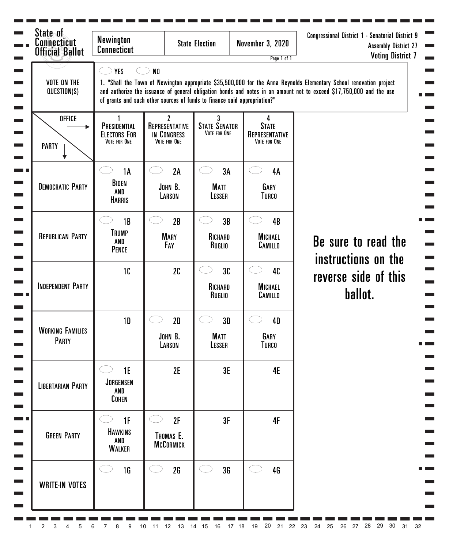| State of<br><b>Connecticut</b><br><b>Official Ballot</b> | <b>Newington</b><br><b>Connecticut</b>              |                                                                                             | <b>State Election</b>                                | <b>November 3, 2020</b><br>Page 1 of 1              | Congressional District 1 - Senatorial District 9<br><b>Assembly District 27</b><br><b>Voting District 7</b>                                                                                                                                 |
|----------------------------------------------------------|-----------------------------------------------------|---------------------------------------------------------------------------------------------|------------------------------------------------------|-----------------------------------------------------|---------------------------------------------------------------------------------------------------------------------------------------------------------------------------------------------------------------------------------------------|
| <b>VOTE ON THE</b><br>QUESTION(S)                        | <b>YES</b>                                          | N <sub>0</sub><br>of grants and such other sources of funds to finance said appropriation?" |                                                      |                                                     | 1. "Shall the Town of Newington appropriate \$35,500,000 for the Anna Reynolds Elementary School renovation project<br>and authorize the issuance of general obligation bonds and notes in an amount not to exceed \$17,750,000 and the use |
| <b>OFFICE</b><br><b>PARTY</b>                            | PRESIDENTIAL<br><b>ELECTORS FOR</b><br>VOTE FOR ONE | $\overline{2}$<br>REPRESENTATIVE<br>IN CONGRESS<br>VOTE FOR ONE                             | $\mathbf{3}$<br><b>STATE SENATOR</b><br>VOTE FOR ONE | 4<br><b>STATE</b><br>REPRESENTATIVE<br>VOTE FOR ONE |                                                                                                                                                                                                                                             |
|                                                          | <b>1A</b>                                           | 2A                                                                                          | 3A<br>in 19                                          | 4A                                                  |                                                                                                                                                                                                                                             |
| <b>DEMOCRATIC PARTY</b>                                  | BIDEN<br>AND<br><b>HARRIS</b>                       | JOHN B.<br>LARSON                                                                           | <b>MATT</b><br>LESSER                                | GARY<br><b>TURCO</b>                                |                                                                                                                                                                                                                                             |
| <b>REPUBLICAN PARTY</b>                                  | 1B<br><b>TRUMP</b><br>AND<br><b>PENCE</b>           | 2B<br><b>MARY</b><br>FAY                                                                    | 3B<br>J.<br>RICHARD<br>RUGLIO                        | 4B<br><b>MICHAEL</b><br>CAMILLO                     | Be sure to read the<br>instructions on the                                                                                                                                                                                                  |
| <b>INDEPENDENT PARTY</b>                                 | 1C                                                  | 2C                                                                                          | 3C<br>RICHARD<br>RUGLIO                              | 40<br><b>MICHAEL</b><br>CAMILLO                     | reverse side of this<br>ballot.                                                                                                                                                                                                             |
| <b>WORKING FAMILIES</b><br>PARTY                         | 1 <sub>D</sub>                                      | 2D<br>JOHN B.                                                                               | 3D<br>Matt                                           | 4D<br>GARY                                          |                                                                                                                                                                                                                                             |
|                                                          |                                                     | LARSON                                                                                      | LESSER                                               | <b>TURCO</b>                                        |                                                                                                                                                                                                                                             |
| <b>LIBERTARIAN PARTY</b>                                 | 1E<br><b>JORGENSEN</b><br>AND<br><b>COHEN</b>       | 2E                                                                                          | 3E                                                   | <b>4E</b>                                           |                                                                                                                                                                                                                                             |
| <b>GREEN PARTY</b>                                       | 1F<br><b>HAWKINS</b><br>AND<br><b>WALKER</b>        | 2F<br>THOMAS E.<br><b>MCCORMICK</b>                                                         | 3F                                                   | <b>4F</b>                                           |                                                                                                                                                                                                                                             |
| <b>WRITE-IN VOTES</b>                                    | 1 <sub>G</sub>                                      | 2G                                                                                          | 3 <sub>G</sub>                                       | 4G                                                  |                                                                                                                                                                                                                                             |